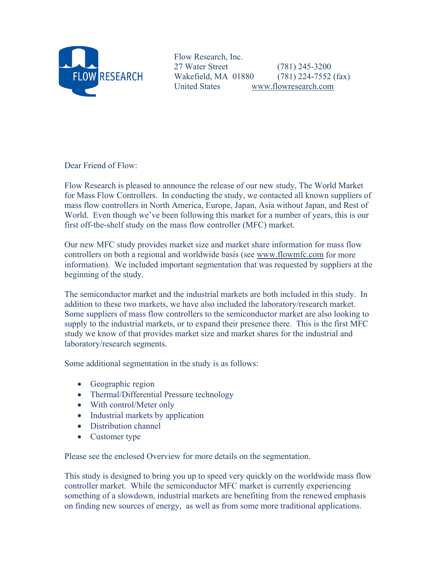

Flow Research, Inc. 27 Water Street (781) 245-3200 Wakefield, MA 01880 (781) 224-7552 (fax) United States www.flowresearch.com

Dear Friend of Flow:

Flow Research is pleased to announce the release of our new study, The World Market for Mass Flow Controllers. In conducting the study, we contacted all known suppliers of mass flow controllers in North America, Europe, Japan, Asia without Japan, and Rest of World. Even though we've been following this market for a number of years, this is our first off-the-shelf study on the mass flow controller (MFC) market.

Our new MFC study provides market size and market share information for mass flow controllers on both a regional and worldwide basis (see www.flowmfc.com for more information). We included important segmentation that was requested by suppliers at the beginning of the study.

The semiconductor market and the industrial markets are both included in this study. In addition to these two markets, we have also included the laboratory/research market. Some suppliers of mass flow controllers to the semiconductor market are also looking to supply to the industrial markets, or to expand their presence there. This is the first MFC study we know of that provides market size and market shares for the industrial and laboratory/research segments.

Some additional segmentation in the study is as follows:

- Geographic region
- Thermal/Differential Pressure technology
- With control/Meter only
- Industrial markets by application
- Distribution channel
- Customer type

Please see the enclosed Overview for more details on the segmentation.

This study is designed to bring you up to speed very quickly on the worldwide mass flow controller market. While the semiconductor MFC market is currently experiencing something of a slowdown, industrial markets are benefiting from the renewed emphasis on finding new sources of energy, as well as from some more traditional applications.